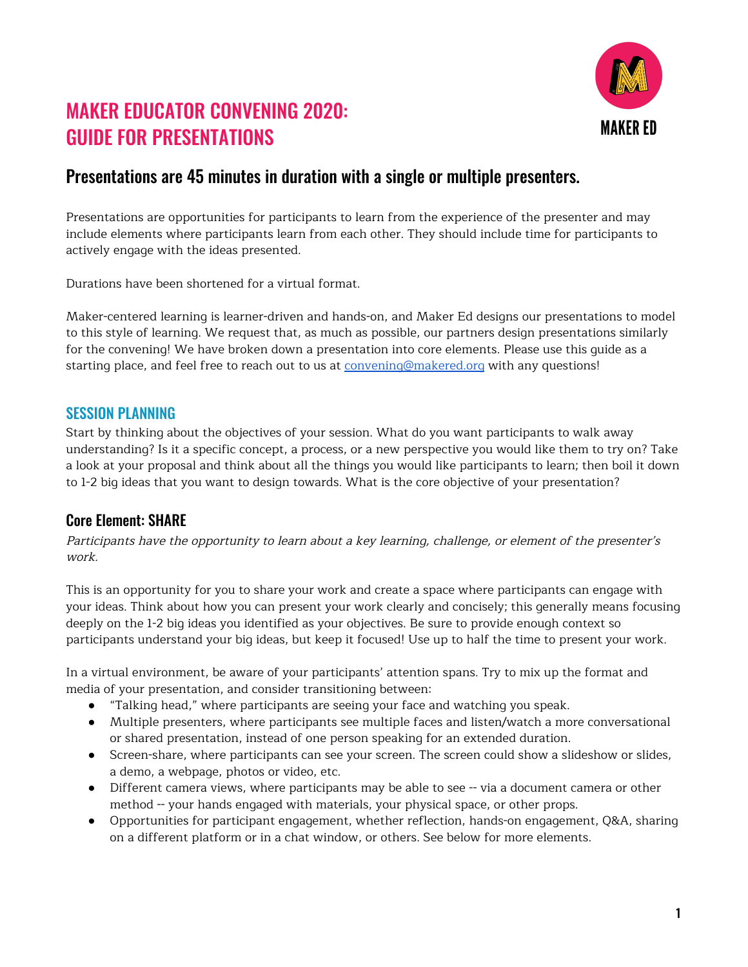

# MAKER EDUCATOR CONVENING 2020: GUIDE FOR PRESENTATIONS

## Presentations are 45 minutes in duration with a single or multiple presenters.

Presentations are opportunities for participants to learn from the experience of the presenter and may include elements where participants learn from each other. They should include time for participants to actively engage with the ideas presented.

Durations have been shortened for a virtual format.

Maker-centered learning is learner-driven and hands-on, and Maker Ed designs our presentations to model to this style of learning. We request that, as much as possible, our partners design presentations similarly for the convening! We have broken down a presentation into core elements. Please use this guide as a starting place, and feel free to reach out to us at [convening@makered.org](mailto:convening@makered.org) with any questions!

## SESSION PLANNING

Start by thinking about the objectives of your session. What do you want participants to walk away understanding? Is it a specific concept, a process, or a new perspective you would like them to try on? Take a look at your proposal and think about all the things you would like participants to learn; then boil it down to 1-2 big ideas that you want to design towards. What is the core objective of your presentation?

## Core Element: SHARE

Participants have the opportunity to learn about <sup>a</sup> key learning, challenge, or element of the presenter's work.

This is an opportunity for you to share your work and create a space where participants can engage with your ideas. Think about how you can present your work clearly and concisely; this generally means focusing deeply on the 1-2 big ideas you identified as your objectives. Be sure to provide enough context so participants understand your big ideas, but keep it focused! Use up to half the time to present your work.

In a virtual environment, be aware of your participants' attention spans. Try to mix up the format and media of your presentation, and consider transitioning between:

- "Talking head," where participants are seeing your face and watching you speak.
- Multiple presenters, where participants see multiple faces and listen/watch a more conversational or shared presentation, instead of one person speaking for an extended duration.
- Screen-share, where participants can see your screen. The screen could show a slideshow or slides, a demo, a webpage, photos or video, etc.
- Different camera views, where participants may be able to see -- via a document camera or other method -- your hands engaged with materials, your physical space, or other props.
- Opportunities for participant engagement, whether reflection, hands-on engagement, Q&A, sharing on a different platform or in a chat window, or others. See below for more elements.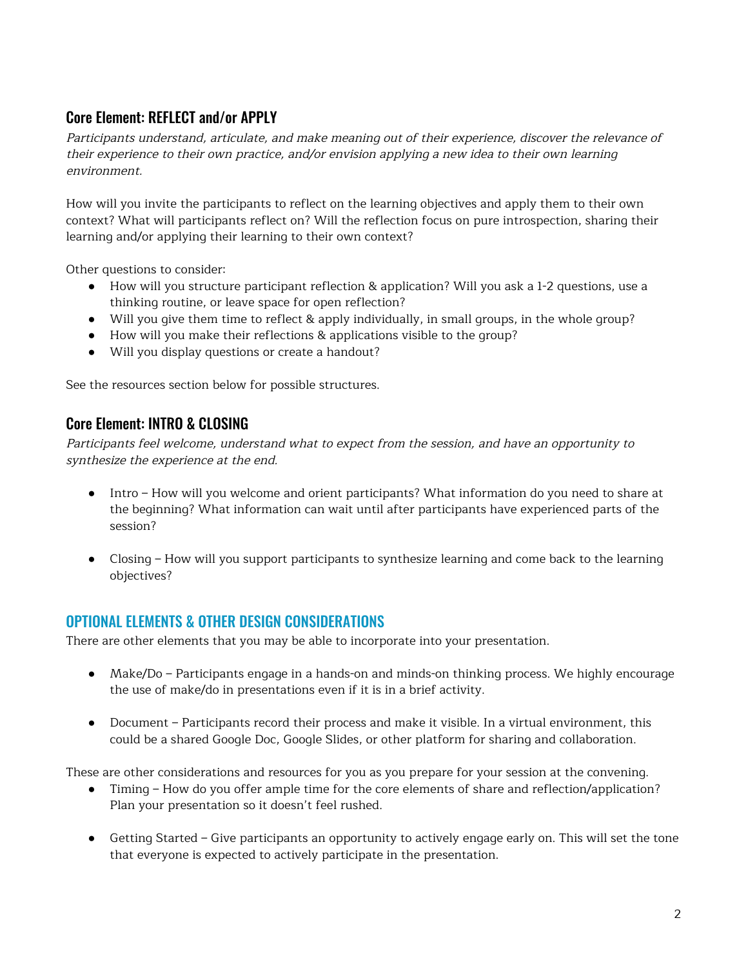## Core Element: REFLECT and/or APPLY

Participants understand, articulate, and make meaning out of their experience, discover the relevance of their experience to their own practice, and/or envision applying <sup>a</sup> new idea to their own learning environment.

How will you invite the participants to reflect on the learning objectives and apply them to their own context? What will participants reflect on? Will the reflection focus on pure introspection, sharing their learning and/or applying their learning to their own context?

Other questions to consider:

- How will you structure participant reflection & application? Will you ask a 1-2 questions, use a thinking routine, or leave space for open reflection?
- Will you give them time to reflect & apply individually, in small groups, in the whole group?
- How will you make their reflections & applications visible to the group?
- Will you display questions or create a handout?

See the resources section below for possible structures.

## Core Element: INTRO & CLOSING

Participants feel welcome, understand what to expect from the session, and have an opportunity to synthesize the experience at the end.

- Intro How will you welcome and orient participants? What information do you need to share at the beginning? What information can wait until after participants have experienced parts of the session?
- Closing How will you support participants to synthesize learning and come back to the learning objectives?

## OPTIONAL ELEMENTS & OTHER DESIGN CONSIDERATIONS

There are other elements that you may be able to incorporate into your presentation.

- Make/Do Participants engage in a hands-on and minds-on thinking process. We highly encourage the use of make/do in presentations even if it is in a brief activity.
- Document Participants record their process and make it visible. In a virtual environment, this could be a shared Google Doc, Google Slides, or other platform for sharing and collaboration.

These are other considerations and resources for you as you prepare for your session at the convening.

- Timing How do you offer ample time for the core elements of share and reflection/application? Plan your presentation so it doesn't feel rushed.
- Getting Started Give participants an opportunity to actively engage early on. This will set the tone that everyone is expected to actively participate in the presentation.